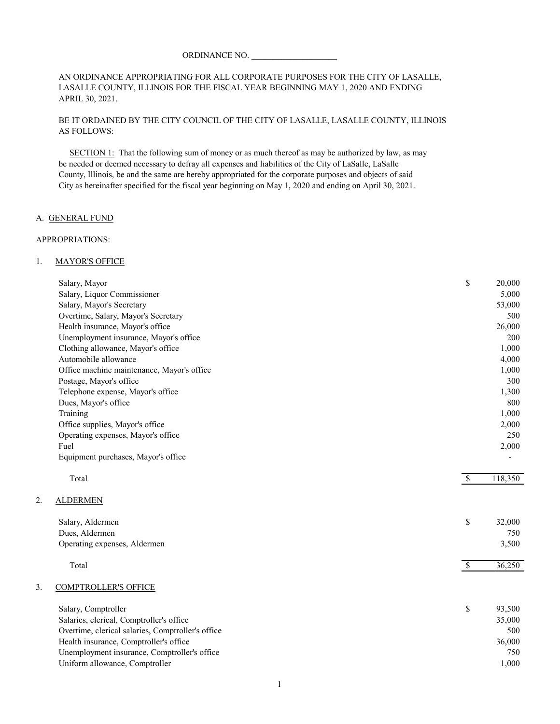#### ORDINANCE NO.

#### AN ORDINANCE APPROPRIATING FOR ALL CORPORATE PURPOSES FOR THE CITY OF LASALLE, LASALLE COUNTY, ILLINOIS FOR THE FISCAL YEAR BEGINNING MAY 1, 2020 AND ENDING APRIL 30, 2021.

#### BE IT ORDAINED BY THE CITY COUNCIL OF THE CITY OF LASALLE, LASALLE COUNTY, ILLINOIS AS FOLLOWS:

 SECTION 1: That the following sum of money or as much thereof as may be authorized by law, as may be needed or deemed necessary to defray all expenses and liabilities of the City of LaSalle, LaSalle County, Illinois, be and the same are hereby appropriated for the corporate purposes and objects of said City as hereinafter specified for the fiscal year beginning on May 1, 2020 and ending on April 30, 2021.

#### A. GENERAL FUND

#### APPROPRIATIONS:

#### 1. MAYOR'S OFFICE

|    | Salary, Mayor                                     | \$                       | 20,000  |
|----|---------------------------------------------------|--------------------------|---------|
|    | Salary, Liquor Commissioner                       |                          | 5,000   |
|    | Salary, Mayor's Secretary                         |                          | 53,000  |
|    | Overtime, Salary, Mayor's Secretary               |                          | 500     |
|    | Health insurance, Mayor's office                  |                          | 26,000  |
|    | Unemployment insurance, Mayor's office            |                          | 200     |
|    | Clothing allowance, Mayor's office                |                          | 1,000   |
|    | Automobile allowance                              |                          | 4,000   |
|    | Office machine maintenance, Mayor's office        |                          | 1,000   |
|    | Postage, Mayor's office                           |                          | 300     |
|    | Telephone expense, Mayor's office                 |                          | 1,300   |
|    | Dues, Mayor's office                              |                          | 800     |
|    | Training                                          |                          | 1,000   |
|    | Office supplies, Mayor's office                   |                          | 2,000   |
|    | Operating expenses, Mayor's office                |                          | 250     |
|    | Fuel                                              |                          | 2,000   |
|    | Equipment purchases, Mayor's office               |                          |         |
|    | Total                                             | $\sqrt{\frac{2}{\pi}}$   | 118,350 |
| 2. | <b>ALDERMEN</b>                                   |                          |         |
|    | Salary, Aldermen                                  | \$                       | 32,000  |
|    | Dues, Aldermen                                    |                          | 750     |
|    | Operating expenses, Aldermen                      |                          | 3,500   |
|    | Total                                             | $\overline{\mathcal{S}}$ | 36,250  |
| 3. | <b>COMPTROLLER'S OFFICE</b>                       |                          |         |
|    | Salary, Comptroller                               | \$                       | 93,500  |
|    | Salaries, clerical, Comptroller's office          |                          | 35,000  |
|    | Overtime, clerical salaries, Comptroller's office |                          | 500     |
|    | Health insurance, Comptroller's office            |                          | 36,000  |
|    | Unemployment insurance, Comptroller's office      |                          | 750     |
|    | Uniform allowance, Comptroller                    |                          | 1,000   |
|    |                                                   |                          |         |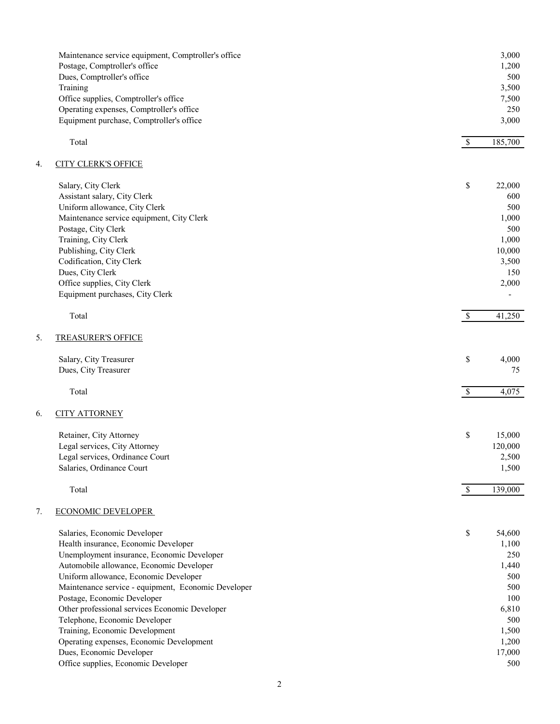|    | Maintenance service equipment, Comptroller's office |              | 3,000   |
|----|-----------------------------------------------------|--------------|---------|
|    | Postage, Comptroller's office                       |              | 1,200   |
|    | Dues, Comptroller's office                          |              | 500     |
|    | Training                                            |              | 3,500   |
|    | Office supplies, Comptroller's office               |              | 7,500   |
|    | Operating expenses, Comptroller's office            |              | 250     |
|    | Equipment purchase, Comptroller's office            |              | 3,000   |
|    | Total                                               | $\mathbb{S}$ | 185,700 |
| 4. | <b>CITY CLERK'S OFFICE</b>                          |              |         |
|    | Salary, City Clerk                                  | $\mathbb S$  | 22,000  |
|    | Assistant salary, City Clerk                        |              | 600     |
|    | Uniform allowance, City Clerk                       |              | 500     |
|    | Maintenance service equipment, City Clerk           |              | 1,000   |
|    | Postage, City Clerk                                 |              | 500     |
|    | Training, City Clerk                                |              | 1,000   |
|    | Publishing, City Clerk                              |              | 10,000  |
|    | Codification, City Clerk                            |              | 3,500   |
|    | Dues, City Clerk                                    |              | 150     |
|    | Office supplies, City Clerk                         |              | 2,000   |
|    | Equipment purchases, City Clerk                     |              |         |
|    | Total                                               | $\mathbb{S}$ | 41,250  |
| 5. | <b>TREASURER'S OFFICE</b>                           |              |         |
|    | Salary, City Treasurer                              | \$           | 4,000   |
|    | Dues, City Treasurer                                |              | 75      |
|    |                                                     |              |         |
|    | Total                                               | $\mathbb{S}$ | 4,075   |
| 6. | <b>CITY ATTORNEY</b>                                |              |         |
|    | Retainer, City Attorney                             | \$           | 15,000  |
|    | Legal services, City Attorney                       |              | 120,000 |
|    | Legal services, Ordinance Court                     |              | 2,500   |
|    | Salaries, Ordinance Court                           |              | 1,500   |
|    | Total                                               | $\mathbb{S}$ | 139,000 |
| 7. | <b>ECONOMIC DEVELOPER</b>                           |              |         |
|    | Salaries, Economic Developer                        | \$           | 54,600  |
|    | Health insurance, Economic Developer                |              | 1,100   |
|    | Unemployment insurance, Economic Developer          |              | 250     |
|    | Automobile allowance, Economic Developer            |              | 1,440   |
|    | Uniform allowance, Economic Developer               |              | 500     |
|    | Maintenance service - equipment, Economic Developer |              | 500     |
|    | Postage, Economic Developer                         |              | 100     |
|    | Other professional services Economic Developer      |              | 6,810   |
|    | Telephone, Economic Developer                       |              | 500     |
|    | Training, Economic Development                      |              | 1,500   |
|    | Operating expenses, Economic Development            |              | 1,200   |
|    | Dues, Economic Developer                            |              | 17,000  |
|    | Office supplies, Economic Developer                 |              | 500     |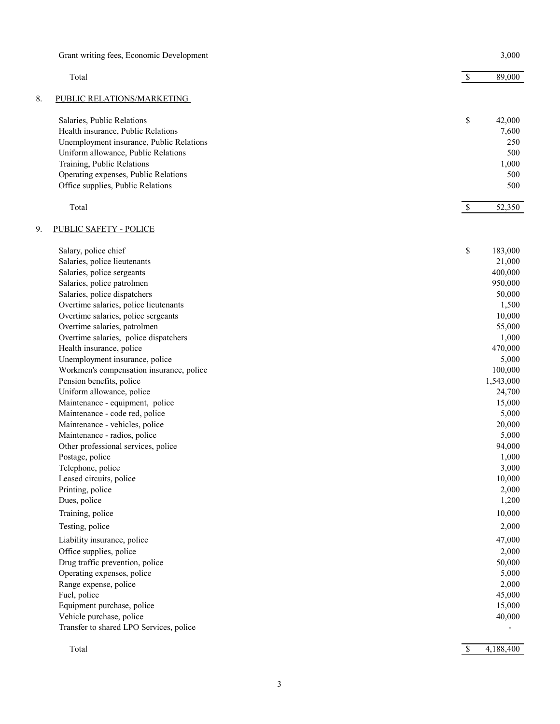|    | Grant writing fees, Economic Development                            |               | 3,000            |
|----|---------------------------------------------------------------------|---------------|------------------|
|    | Total                                                               | $\mathcal{S}$ | 89,000           |
| 8. | PUBLIC RELATIONS/MARKETING                                          |               |                  |
|    | Salaries, Public Relations                                          | \$            | 42,000           |
|    | Health insurance, Public Relations                                  |               | 7,600            |
|    | Unemployment insurance, Public Relations                            |               | 250              |
|    | Uniform allowance, Public Relations                                 |               | 500              |
|    | Training, Public Relations                                          |               | 1,000            |
|    | Operating expenses, Public Relations                                |               | 500              |
|    | Office supplies, Public Relations                                   |               | 500              |
|    | Total                                                               | $\mathbb{S}$  | 52,350           |
| 9. | <b>PUBLIC SAFETY - POLICE</b>                                       |               |                  |
|    | Salary, police chief                                                | \$            | 183,000          |
|    | Salaries, police lieutenants                                        |               | 21,000           |
|    | Salaries, police sergeants                                          |               | 400,000          |
|    | Salaries, police patrolmen                                          |               | 950,000          |
|    | Salaries, police dispatchers                                        |               | 50,000           |
|    | Overtime salaries, police lieutenants                               |               | 1,500            |
|    | Overtime salaries, police sergeants                                 |               | 10,000           |
|    | Overtime salaries, patrolmen                                        |               | 55,000           |
|    | Overtime salaries, police dispatchers                               |               | 1,000            |
|    | Health insurance, police                                            |               | 470,000          |
|    | Unemployment insurance, police                                      |               | 5,000            |
|    | Workmen's compensation insurance, police                            |               | 100,000          |
|    | Pension benefits, police                                            |               | 1,543,000        |
|    | Uniform allowance, police<br>Maintenance - equipment, police        |               | 24,700<br>15,000 |
|    | Maintenance - code red, police                                      |               | 5,000            |
|    | Maintenance - vehicles, police                                      |               | 20,000           |
|    | Maintenance - radios, police                                        |               | 5,000            |
|    | Other professional services, police                                 |               | 94,000           |
|    | Postage, police                                                     |               | 1,000            |
|    | Telephone, police                                                   |               | 3,000            |
|    | Leased circuits, police                                             |               | 10,000           |
|    | Printing, police                                                    |               | 2,000            |
|    | Dues, police                                                        |               | 1,200            |
|    | Training, police                                                    |               | 10,000           |
|    | Testing, police                                                     |               | 2,000            |
|    | Liability insurance, police                                         |               | 47,000           |
|    | Office supplies, police                                             |               | 2,000            |
|    | Drug traffic prevention, police                                     |               | 50,000           |
|    | Operating expenses, police                                          |               | 5,000            |
|    | Range expense, police                                               |               | 2,000            |
|    | Fuel, police                                                        |               | 45,000           |
|    | Equipment purchase, police                                          |               | 15,000           |
|    | Vehicle purchase, police<br>Transfer to shared LPO Services, police |               | 40,000           |
|    |                                                                     |               |                  |
|    | Total                                                               | $\mathbb{S}$  | 4,188,400        |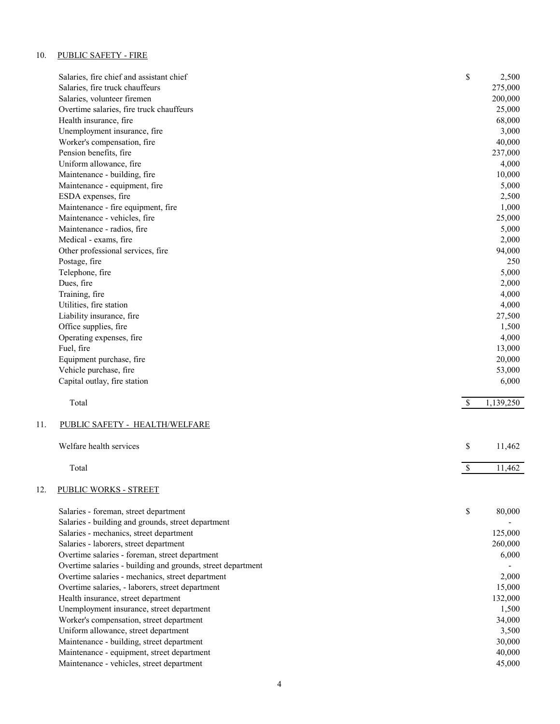## 10. PUBLIC SAFETY - FIRE

|     | Salaries, fire chief and assistant chief                    | \$           | 2,500     |
|-----|-------------------------------------------------------------|--------------|-----------|
|     | Salaries, fire truck chauffeurs                             |              | 275,000   |
|     | Salaries, volunteer firemen                                 |              | 200,000   |
|     | Overtime salaries, fire truck chauffeurs                    |              | 25,000    |
|     | Health insurance, fire                                      |              | 68,000    |
|     | Unemployment insurance, fire                                |              | 3,000     |
|     | Worker's compensation, fire                                 |              | 40,000    |
|     | Pension benefits, fire                                      |              | 237,000   |
|     | Uniform allowance, fire                                     |              | 4,000     |
|     | Maintenance - building, fire                                |              | 10,000    |
|     | Maintenance - equipment, fire                               |              | 5,000     |
|     | ESDA expenses, fire                                         |              | 2,500     |
|     | Maintenance - fire equipment, fire                          |              | 1,000     |
|     | Maintenance - vehicles, fire                                |              | 25,000    |
|     | Maintenance - radios, fire                                  |              | 5,000     |
|     | Medical - exams, fire                                       |              | 2,000     |
|     | Other professional services, fire                           |              | 94,000    |
|     | Postage, fire                                               |              | 250       |
|     | Telephone, fire                                             |              | 5,000     |
|     | Dues, fire                                                  |              | 2,000     |
|     | Training, fire                                              |              | 4,000     |
|     | Utilities, fire station                                     |              | 4,000     |
|     | Liability insurance, fire                                   |              | 27,500    |
|     | Office supplies, fire                                       |              | 1,500     |
|     | Operating expenses, fire                                    |              | 4,000     |
|     | Fuel, fire                                                  |              | 13,000    |
|     | Equipment purchase, fire                                    |              | 20,000    |
|     | Vehicle purchase, fire                                      |              | 53,000    |
|     | Capital outlay, fire station                                |              | 6,000     |
|     | Total                                                       | - S          | 1,139,250 |
| 11. | PUBLIC SAFETY - HEALTH/WELFARE                              |              |           |
|     | Welfare health services                                     | \$           | 11,462    |
|     |                                                             |              |           |
|     | Total                                                       | $\mathbb{S}$ | 11,462    |
| 12. | PUBLIC WORKS - STREET                                       |              |           |
|     |                                                             |              |           |
|     | Salaries - foreman, street department                       | \$           | 80,000    |
|     | Salaries - building and grounds, street department          |              |           |
|     | Salaries - mechanics, street department                     |              | 125,000   |
|     | Salaries - laborers, street department                      |              | 260,000   |
|     | Overtime salaries - foreman, street department              |              | 6,000     |
|     | Overtime salaries - building and grounds, street department |              |           |
|     | Overtime salaries - mechanics, street department            |              | 2,000     |
|     | Overtime salaries, - laborers, street department            |              | 15,000    |
|     | Health insurance, street department                         |              | 132,000   |
|     | Unemployment insurance, street department                   |              | 1,500     |
|     | Worker's compensation, street department                    |              | 34,000    |
|     | Uniform allowance, street department                        |              | 3,500     |
|     | Maintenance - building, street department                   |              | 30,000    |
|     | Maintenance - equipment, street department                  |              | 40,000    |
|     | Maintenance - vehicles, street department                   |              | 45,000    |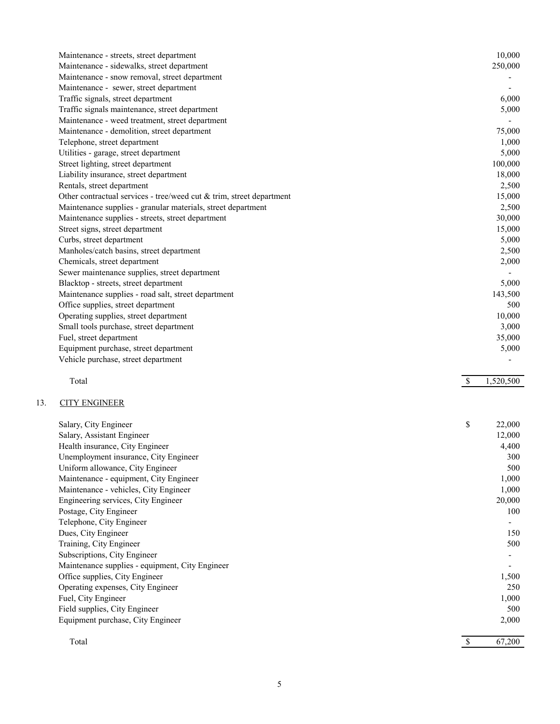| Maintenance - streets, street department                             | 10,000                    |
|----------------------------------------------------------------------|---------------------------|
| Maintenance - sidewalks, street department                           | 250,000                   |
| Maintenance - snow removal, street department                        |                           |
| Maintenance - sewer, street department                               |                           |
| Traffic signals, street department                                   | 6,000                     |
| Traffic signals maintenance, street department                       | 5,000                     |
| Maintenance - weed treatment, street department                      |                           |
| Maintenance - demolition, street department                          | 75,000                    |
| Telephone, street department                                         | 1,000                     |
| Utilities - garage, street department                                | 5,000                     |
| Street lighting, street department                                   | 100,000                   |
| Liability insurance, street department                               | 18,000                    |
| Rentals, street department                                           | 2,500                     |
| Other contractual services - tree/weed cut & trim, street department | 15,000                    |
| Maintenance supplies - granular materials, street department         | 2,500                     |
| Maintenance supplies - streets, street department                    | 30,000                    |
| Street signs, street department                                      | 15,000                    |
| Curbs, street department                                             | 5,000                     |
| Manholes/catch basins, street department                             | 2,500                     |
| Chemicals, street department                                         | 2,000                     |
| Sewer maintenance supplies, street department                        |                           |
| Blacktop - streets, street department                                | 5,000                     |
| Maintenance supplies - road salt, street department                  | 143,500                   |
| Office supplies, street department                                   | 500                       |
| Operating supplies, street department                                | 10,000                    |
| Small tools purchase, street department                              | 3,000                     |
| Fuel, street department                                              | 35,000                    |
| Equipment purchase, street department                                | 5,000                     |
| Vehicle purchase, street department                                  |                           |
| Total                                                                | $\mathbb{S}$<br>1,520,500 |
| <b>CITY ENGINEER</b>                                                 |                           |

| Salary, City Engineer                           | \$<br>22,000             |
|-------------------------------------------------|--------------------------|
| Salary, Assistant Engineer                      | 12,000                   |
| Health insurance, City Engineer                 | 4,400                    |
| Unemployment insurance, City Engineer           | 300                      |
| Uniform allowance, City Engineer                | 500                      |
| Maintenance - equipment, City Engineer          | 1,000                    |
| Maintenance - vehicles, City Engineer           | 1,000                    |
| Engineering services, City Engineer             | 20,000                   |
| Postage, City Engineer                          | 100                      |
| Telephone, City Engineer                        | -                        |
| Dues, City Engineer                             | 150                      |
| Training, City Engineer                         | 500                      |
| Subscriptions, City Engineer                    | Ξ.                       |
| Maintenance supplies - equipment, City Engineer | $\overline{\phantom{a}}$ |
| Office supplies, City Engineer                  | 1,500                    |
| Operating expenses, City Engineer               | 250                      |
| Fuel, City Engineer                             | 1,000                    |
| Field supplies, City Engineer                   | 500                      |
| Equipment purchase, City Engineer               | 2,000                    |
|                                                 |                          |
| Total                                           | 67,200                   |

 $13.$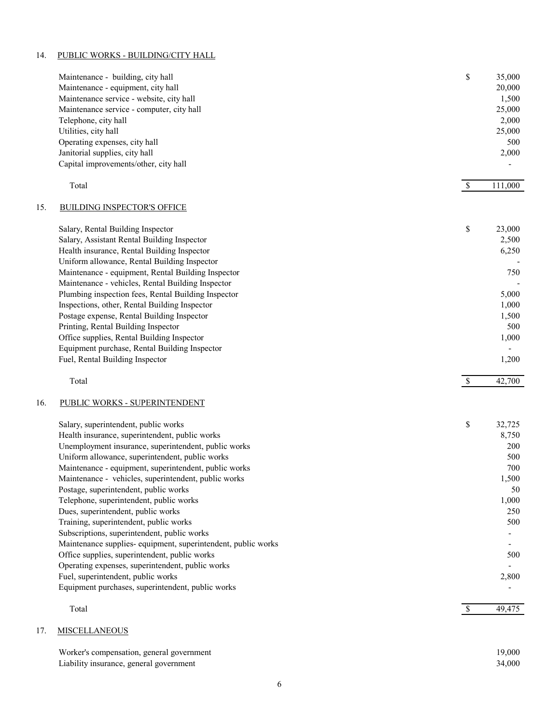#### 14. PUBLIC WORKS - BUILDING/CITY HALL

|     | Maintenance - building, city hall<br>Maintenance - equipment, city hall<br>Maintenance service - website, city hall<br>Maintenance service - computer, city hall<br>Telephone, city hall<br>Utilities, city hall<br>Operating expenses, city hall<br>Janitorial supplies, city hall<br>Capital improvements/other, city hall                                                                                                                                                                                                                                                                                              | \$            | 35,000<br>20,000<br>1,500<br>25,000<br>2,000<br>25,000<br>500<br>2,000              |
|-----|---------------------------------------------------------------------------------------------------------------------------------------------------------------------------------------------------------------------------------------------------------------------------------------------------------------------------------------------------------------------------------------------------------------------------------------------------------------------------------------------------------------------------------------------------------------------------------------------------------------------------|---------------|-------------------------------------------------------------------------------------|
|     | Total                                                                                                                                                                                                                                                                                                                                                                                                                                                                                                                                                                                                                     | $\mathcal{S}$ | 111,000                                                                             |
| 15. | <b>BUILDING INSPECTOR'S OFFICE</b>                                                                                                                                                                                                                                                                                                                                                                                                                                                                                                                                                                                        |               |                                                                                     |
|     | Salary, Rental Building Inspector<br>Salary, Assistant Rental Building Inspector<br>Health insurance, Rental Building Inspector<br>Uniform allowance, Rental Building Inspector<br>Maintenance - equipment, Rental Building Inspector<br>Maintenance - vehicles, Rental Building Inspector<br>Plumbing inspection fees, Rental Building Inspector<br>Inspections, other, Rental Building Inspector<br>Postage expense, Rental Building Inspector<br>Printing, Rental Building Inspector<br>Office supplies, Rental Building Inspector<br>Equipment purchase, Rental Building Inspector<br>Fuel, Rental Building Inspector | \$            | 23,000<br>2,500<br>6,250<br>750<br>5,000<br>1,000<br>1,500<br>500<br>1,000<br>1,200 |
|     | Total                                                                                                                                                                                                                                                                                                                                                                                                                                                                                                                                                                                                                     | $\$$          | 42,700                                                                              |
| 16. | PUBLIC WORKS - SUPERINTENDENT                                                                                                                                                                                                                                                                                                                                                                                                                                                                                                                                                                                             |               |                                                                                     |
|     |                                                                                                                                                                                                                                                                                                                                                                                                                                                                                                                                                                                                                           |               |                                                                                     |
|     | Salary, superintendent, public works                                                                                                                                                                                                                                                                                                                                                                                                                                                                                                                                                                                      | \$            | 32,725                                                                              |
|     | Health insurance, superintendent, public works                                                                                                                                                                                                                                                                                                                                                                                                                                                                                                                                                                            |               | 8,750                                                                               |
|     | Unemployment insurance, superintendent, public works<br>Uniform allowance, superintendent, public works                                                                                                                                                                                                                                                                                                                                                                                                                                                                                                                   |               | 200<br>500                                                                          |
|     | Maintenance - equipment, superintendent, public works                                                                                                                                                                                                                                                                                                                                                                                                                                                                                                                                                                     |               | 700                                                                                 |
|     | Maintenance - vehicles, superintendent, public works                                                                                                                                                                                                                                                                                                                                                                                                                                                                                                                                                                      |               | 1,500                                                                               |
|     | Postage, superintendent, public works                                                                                                                                                                                                                                                                                                                                                                                                                                                                                                                                                                                     |               | 50                                                                                  |
|     | Telephone, superintendent, public works                                                                                                                                                                                                                                                                                                                                                                                                                                                                                                                                                                                   |               | 1,000                                                                               |
|     | Dues, superintendent, public works                                                                                                                                                                                                                                                                                                                                                                                                                                                                                                                                                                                        |               | 250                                                                                 |
|     | Training, superintendent, public works                                                                                                                                                                                                                                                                                                                                                                                                                                                                                                                                                                                    |               | 500                                                                                 |
|     | Subscriptions, superintendent, public works                                                                                                                                                                                                                                                                                                                                                                                                                                                                                                                                                                               |               |                                                                                     |
|     | Maintenance supplies- equipment, superintendent, public works                                                                                                                                                                                                                                                                                                                                                                                                                                                                                                                                                             |               |                                                                                     |
|     | Office supplies, superintendent, public works                                                                                                                                                                                                                                                                                                                                                                                                                                                                                                                                                                             |               | 500                                                                                 |
|     | Operating expenses, superintendent, public works<br>Fuel, superintendent, public works                                                                                                                                                                                                                                                                                                                                                                                                                                                                                                                                    |               | 2,800                                                                               |
|     | Equipment purchases, superintendent, public works                                                                                                                                                                                                                                                                                                                                                                                                                                                                                                                                                                         |               |                                                                                     |
|     | Total                                                                                                                                                                                                                                                                                                                                                                                                                                                                                                                                                                                                                     | $\mathbb{S}$  | 49,475                                                                              |
|     |                                                                                                                                                                                                                                                                                                                                                                                                                                                                                                                                                                                                                           |               |                                                                                     |
| 17. | <b>MISCELLANEOUS</b>                                                                                                                                                                                                                                                                                                                                                                                                                                                                                                                                                                                                      |               |                                                                                     |

# Worker's compensation, general government 19,000 Liability insurance, general government 34,000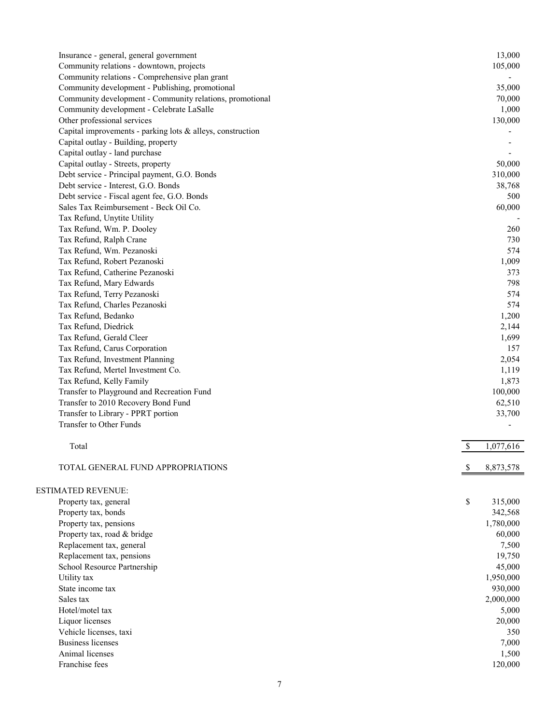| Insurance - general, general government                    |              | 13,000    |
|------------------------------------------------------------|--------------|-----------|
| Community relations - downtown, projects                   |              | 105,000   |
| Community relations - Comprehensive plan grant             |              |           |
| Community development - Publishing, promotional            |              | 35,000    |
| Community development - Community relations, promotional   |              | 70,000    |
| Community development - Celebrate LaSalle                  |              | 1,000     |
| Other professional services                                |              | 130,000   |
| Capital improvements - parking lots & alleys, construction |              |           |
| Capital outlay - Building, property                        |              |           |
| Capital outlay - land purchase                             |              |           |
| Capital outlay - Streets, property                         |              | 50,000    |
| Debt service - Principal payment, G.O. Bonds               |              | 310,000   |
| Debt service - Interest, G.O. Bonds                        |              | 38,768    |
| Debt service - Fiscal agent fee, G.O. Bonds                |              | 500       |
| Sales Tax Reimbursement - Beck Oil Co.                     |              | 60,000    |
| Tax Refund, Unytite Utility                                |              |           |
| Tax Refund, Wm. P. Dooley                                  |              | 260       |
| Tax Refund, Ralph Crane                                    |              | 730       |
| Tax Refund, Wm. Pezanoski                                  |              | 574       |
| Tax Refund, Robert Pezanoski                               |              | 1,009     |
| Tax Refund, Catherine Pezanoski                            |              | 373       |
| Tax Refund, Mary Edwards                                   |              | 798       |
| Tax Refund, Terry Pezanoski                                |              | 574       |
| Tax Refund, Charles Pezanoski                              |              | 574       |
| Tax Refund, Bedanko                                        |              | 1,200     |
| Tax Refund, Diedrick                                       |              | 2,144     |
| Tax Refund, Gerald Cleer                                   |              | 1,699     |
| Tax Refund, Carus Corporation                              |              | 157       |
| Tax Refund, Investment Planning                            |              | 2,054     |
| Tax Refund, Mertel Investment Co.                          |              | 1,119     |
|                                                            |              | 1,873     |
| Tax Refund, Kelly Family                                   |              |           |
| Transfer to Playground and Recreation Fund                 |              | 100,000   |
| Transfer to 2010 Recovery Bond Fund                        |              | 62,510    |
| Transfer to Library - PPRT portion                         |              | 33,700    |
| Transfer to Other Funds                                    |              |           |
| Total                                                      | \$           | 1,077,616 |
| TOTAL GENERAL FUND APPROPRIATIONS                          | <sup>8</sup> | 8,873,578 |
| <b>ESTIMATED REVENUE:</b>                                  |              |           |
| Property tax, general                                      | \$           | 315,000   |
| Property tax, bonds                                        |              | 342,568   |
| Property tax, pensions                                     |              | 1,780,000 |
| Property tax, road & bridge                                |              | 60,000    |
| Replacement tax, general                                   |              | 7,500     |
| Replacement tax, pensions                                  |              | 19,750    |
| School Resource Partnership                                |              | 45,000    |
| Utility tax                                                |              | 1,950,000 |
| State income tax                                           |              | 930,000   |
| Sales tax                                                  |              | 2,000,000 |
| Hotel/motel tax                                            |              | 5,000     |
| Liquor licenses                                            |              | 20,000    |
| Vehicle licenses, taxi                                     |              | 350       |
| <b>Business licenses</b>                                   |              | 7,000     |
| Animal licenses                                            |              | 1,500     |
| Franchise fees                                             |              | 120,000   |
|                                                            |              |           |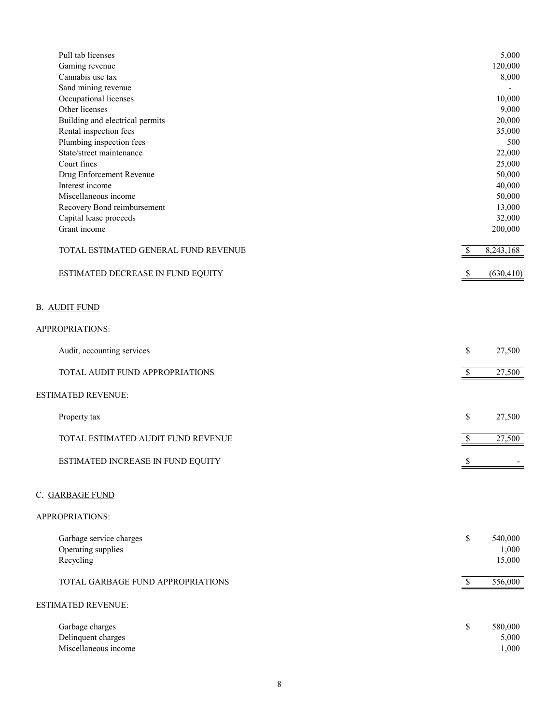| Pull tab licenses                    |              | 5,000                    |
|--------------------------------------|--------------|--------------------------|
| Gaming revenue                       |              | 120,000                  |
| Cannabis use tax                     |              | 8,000                    |
| Sand mining revenue                  |              |                          |
| Occupational licenses                |              | 10,000                   |
| Other licenses                       |              | 9,000                    |
| Building and electrical permits      |              | 20,000                   |
| Rental inspection fees               |              | 35,000                   |
| Plumbing inspection fees             |              | 500                      |
| State/street maintenance             |              | 22,000                   |
| Court fines                          |              | 25,000                   |
| Drug Enforcement Revenue             |              | 50,000                   |
| Interest income                      |              | 40,000                   |
| Miscellaneous income                 |              | 50,000                   |
| Recovery Bond reimbursement          |              | 13,000                   |
|                                      |              |                          |
| Capital lease proceeds               |              | 32,000                   |
| Grant income                         |              | 200,000                  |
| TOTAL ESTIMATED GENERAL FUND REVENUE | $\$$         | 8,243,168                |
| ESTIMATED DECREASE IN FUND EQUITY    | \$           | (630, 410)               |
| <b>B. AUDIT FUND</b>                 |              |                          |
| APPROPRIATIONS:                      |              |                          |
|                                      |              |                          |
| Audit, accounting services           | \$           | 27,500                   |
| TOTAL AUDIT FUND APPROPRIATIONS      | $\mathbb S$  | 27,500                   |
| <b>ESTIMATED REVENUE:</b>            |              |                          |
| Property tax                         | \$           | 27,500                   |
| TOTAL ESTIMATED AUDIT FUND REVENUE   | $\mathbb{S}$ | 27,500                   |
|                                      |              |                          |
| ESTIMATED INCREASE IN FUND EQUITY    | P            | $\overline{\phantom{a}}$ |
| C. GARBAGE FUND                      |              |                          |
| APPROPRIATIONS:                      |              |                          |
| Garbage service charges              | \$           | 540,000                  |
| Operating supplies                   |              | 1,000                    |
| Recycling                            |              | 15,000                   |
|                                      |              |                          |
| TOTAL GARBAGE FUND APPROPRIATIONS    | $\mathbb{S}$ | 556,000                  |
| <b>ESTIMATED REVENUE:</b>            |              |                          |
| Garbage charges                      | \$           | 580,000                  |
| Delinquent charges                   |              | 5,000                    |
| Miscellaneous income                 |              | 1,000                    |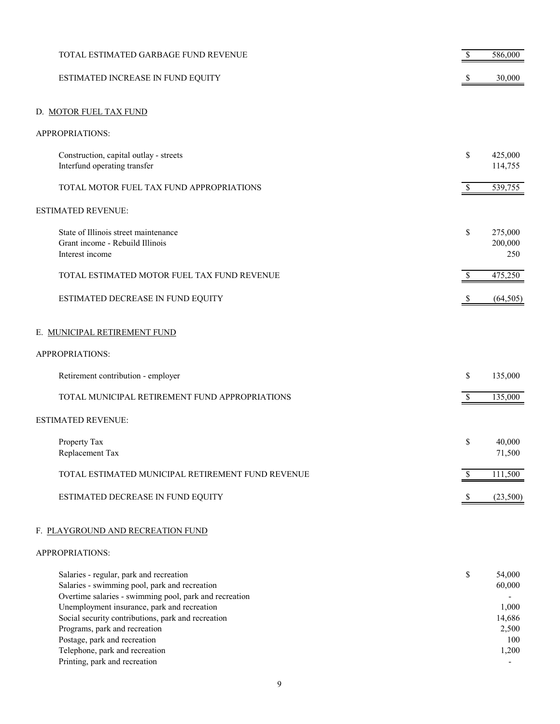| TOTAL ESTIMATED GARBAGE FUND REVENUE                                                                                                                                                                                                                                                                                                                       | \$           | 586,000                                                      |
|------------------------------------------------------------------------------------------------------------------------------------------------------------------------------------------------------------------------------------------------------------------------------------------------------------------------------------------------------------|--------------|--------------------------------------------------------------|
| ESTIMATED INCREASE IN FUND EQUITY                                                                                                                                                                                                                                                                                                                          |              | 30,000                                                       |
| D. MOTOR FUEL TAX FUND                                                                                                                                                                                                                                                                                                                                     |              |                                                              |
| APPROPRIATIONS:                                                                                                                                                                                                                                                                                                                                            |              |                                                              |
| Construction, capital outlay - streets<br>Interfund operating transfer                                                                                                                                                                                                                                                                                     | \$           | 425,000<br>114,755                                           |
| TOTAL MOTOR FUEL TAX FUND APPROPRIATIONS                                                                                                                                                                                                                                                                                                                   | $\mathbb S$  | 539,755                                                      |
| ESTIMATED REVENUE:                                                                                                                                                                                                                                                                                                                                         |              |                                                              |
| State of Illinois street maintenance<br>Grant income - Rebuild Illinois<br>Interest income                                                                                                                                                                                                                                                                 | \$           | 275,000<br>200,000<br>250                                    |
| TOTAL ESTIMATED MOTOR FUEL TAX FUND REVENUE                                                                                                                                                                                                                                                                                                                |              | 475,250                                                      |
| ESTIMATED DECREASE IN FUND EQUITY                                                                                                                                                                                                                                                                                                                          | \$           | (64, 505)                                                    |
| E. MUNICIPAL RETIREMENT FUND                                                                                                                                                                                                                                                                                                                               |              |                                                              |
| APPROPRIATIONS:                                                                                                                                                                                                                                                                                                                                            |              |                                                              |
| Retirement contribution - employer                                                                                                                                                                                                                                                                                                                         | \$           | 135,000                                                      |
| TOTAL MUNICIPAL RETIREMENT FUND APPROPRIATIONS                                                                                                                                                                                                                                                                                                             | \$           | 135,000                                                      |
| <b>ESTIMATED REVENUE:</b>                                                                                                                                                                                                                                                                                                                                  |              |                                                              |
| Property Tax<br>Replacement Tax                                                                                                                                                                                                                                                                                                                            | \$           | 40,000<br>71,500                                             |
| TOTAL ESTIMATED MUNICIPAL RETIREMENT FUND REVENUE                                                                                                                                                                                                                                                                                                          |              | 111,500                                                      |
| ESTIMATED DECREASE IN FUND EQUITY                                                                                                                                                                                                                                                                                                                          | <sup>8</sup> | (23,500)                                                     |
| F. PLAYGROUND AND RECREATION FUND                                                                                                                                                                                                                                                                                                                          |              |                                                              |
| APPROPRIATIONS:                                                                                                                                                                                                                                                                                                                                            |              |                                                              |
| Salaries - regular, park and recreation<br>Salaries - swimming pool, park and recreation<br>Overtime salaries - swimming pool, park and recreation<br>Unemployment insurance, park and recreation<br>Social security contributions, park and recreation<br>Programs, park and recreation<br>Postage, park and recreation<br>Telephone, park and recreation | \$           | 54,000<br>60,000<br>1,000<br>14,686<br>2,500<br>100<br>1,200 |
| Printing, park and recreation                                                                                                                                                                                                                                                                                                                              |              |                                                              |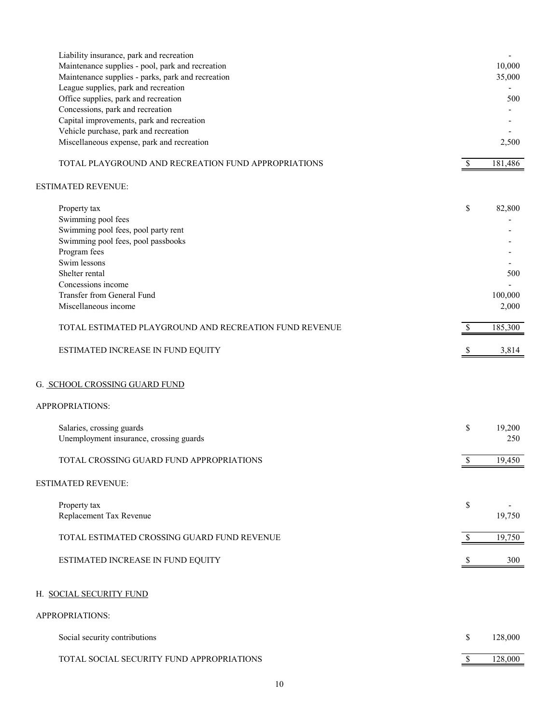| Liability insurance, park and recreation<br>Maintenance supplies - pool, park and recreation<br>Maintenance supplies - parks, park and recreation<br>League supplies, park and recreation |                          | $\overline{\phantom{a}}$<br>10,000<br>35,000 |
|-------------------------------------------------------------------------------------------------------------------------------------------------------------------------------------------|--------------------------|----------------------------------------------|
| Office supplies, park and recreation                                                                                                                                                      |                          | 500                                          |
| Concessions, park and recreation                                                                                                                                                          |                          |                                              |
| Capital improvements, park and recreation                                                                                                                                                 |                          |                                              |
| Vehicle purchase, park and recreation                                                                                                                                                     |                          |                                              |
| Miscellaneous expense, park and recreation                                                                                                                                                |                          | 2,500                                        |
| TOTAL PLAYGROUND AND RECREATION FUND APPROPRIATIONS                                                                                                                                       | <sup>\$</sup>            | 181,486                                      |
| ESTIMATED REVENUE:                                                                                                                                                                        |                          |                                              |
| Property tax                                                                                                                                                                              | \$                       | 82,800                                       |
| Swimming pool fees                                                                                                                                                                        |                          |                                              |
| Swimming pool fees, pool party rent                                                                                                                                                       |                          |                                              |
| Swimming pool fees, pool passbooks                                                                                                                                                        |                          |                                              |
| Program fees                                                                                                                                                                              |                          |                                              |
| Swim lessons                                                                                                                                                                              |                          |                                              |
| Shelter rental                                                                                                                                                                            |                          | 500                                          |
| Concessions income                                                                                                                                                                        |                          |                                              |
| Transfer from General Fund                                                                                                                                                                |                          | 100,000                                      |
| Miscellaneous income                                                                                                                                                                      |                          | 2,000                                        |
| TOTAL ESTIMATED PLAYGROUND AND RECREATION FUND REVENUE                                                                                                                                    | -\$                      | 185,300                                      |
| ESTIMATED INCREASE IN FUND EQUITY                                                                                                                                                         | <sup>S</sup>             | 3,814                                        |
| G. <u>SCHOOL CROSSING GUARD FUND</u><br>APPROPRIATIONS:                                                                                                                                   |                          |                                              |
|                                                                                                                                                                                           |                          |                                              |
| Salaries, crossing guards                                                                                                                                                                 | \$                       | 19,200                                       |
| Unemployment insurance, crossing guards                                                                                                                                                   |                          | 250                                          |
| TOTAL CROSSING GUARD FUND APPROPRIATIONS                                                                                                                                                  | P                        | 19,450                                       |
| ESTIMATED REVENUE:                                                                                                                                                                        |                          |                                              |
| Property tax                                                                                                                                                                              | \$                       |                                              |
| Replacement Tax Revenue                                                                                                                                                                   |                          | 19,750                                       |
|                                                                                                                                                                                           |                          |                                              |
| TOTAL ESTIMATED CROSSING GUARD FUND REVENUE                                                                                                                                               | <sup>\$</sup>            | 19,750                                       |
| ESTIMATED INCREASE IN FUND EQUITY                                                                                                                                                         | <sup>8</sup>             | 300                                          |
|                                                                                                                                                                                           |                          |                                              |
| H. SOCIAL SECURITY FUND                                                                                                                                                                   |                          |                                              |
| APPROPRIATIONS:                                                                                                                                                                           |                          |                                              |
| Social security contributions                                                                                                                                                             | \$                       | 128,000                                      |
| TOTAL SOCIAL SECURITY FUND APPROPRIATIONS                                                                                                                                                 | $\overline{\mathcal{S}}$ | 128,000                                      |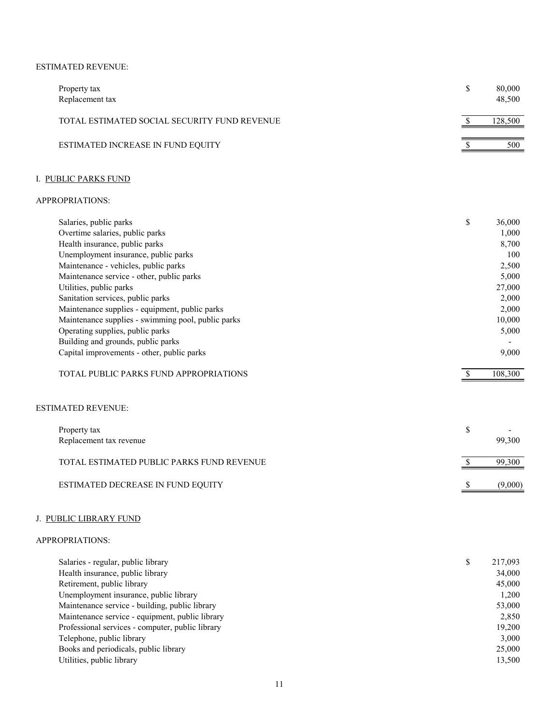## ESTIMATED REVENUE:

| Property tax<br>Replacement tax              | 80,000<br>48,500 |
|----------------------------------------------|------------------|
| TOTAL ESTIMATED SOCIAL SECURITY FUND REVENUE | 128,500          |
| ESTIMATED INCREASE IN FUND EQUITY            | 500              |

# I. PUBLIC PARKS FUND

#### APPROPRIATIONS:

| Salaries, public parks                             | \$<br>36,000 |
|----------------------------------------------------|--------------|
| Overtime salaries, public parks                    | 1,000        |
| Health insurance, public parks                     | 8,700        |
| Unemployment insurance, public parks               | 100          |
| Maintenance - vehicles, public parks               | 2,500        |
| Maintenance service - other, public parks          | 5,000        |
| Utilities, public parks                            | 27,000       |
| Sanitation services, public parks                  | 2,000        |
| Maintenance supplies - equipment, public parks     | 2,000        |
| Maintenance supplies - swimming pool, public parks | 10,000       |
| Operating supplies, public parks                   | 5,000        |
| Building and grounds, public parks                 |              |
| Capital improvements - other, public parks         | 9,000        |
| TOTAL PUBLIC PARKS FUND APPROPRIATIONS             | 108,300      |
| <b>ESTIMATED REVENUE:</b>                          |              |
|                                                    |              |
| Property tax                                       | \$           |

| Replacement tax revenue                   | 99,300  |
|-------------------------------------------|---------|
| TOTAL ESTIMATED PUBLIC PARKS FUND REVENUE | 99,300  |
| ESTIMATED DECREASE IN FUND EQUITY         | (9,000) |

# J. PUBLIC LIBRARY FUND

| Salaries - regular, public library               | \$<br>217,093 |
|--------------------------------------------------|---------------|
| Health insurance, public library                 | 34,000        |
| Retirement, public library                       | 45,000        |
| Unemployment insurance, public library           | 1,200         |
| Maintenance service - building, public library   | 53,000        |
| Maintenance service - equipment, public library  | 2,850         |
| Professional services - computer, public library | 19,200        |
| Telephone, public library                        | 3,000         |
| Books and periodicals, public library            | 25,000        |
| Utilities, public library                        | 13,500        |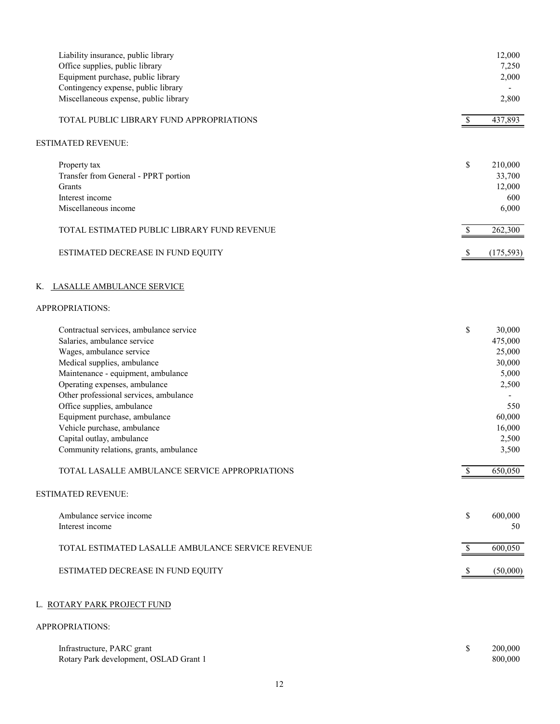| Liability insurance, public library<br>Office supplies, public library |    | 12,000<br>7,250 |
|------------------------------------------------------------------------|----|-----------------|
| Equipment purchase, public library                                     |    | 2,000           |
| Contingency expense, public library                                    |    |                 |
| Miscellaneous expense, public library                                  |    | 2,800           |
| TOTAL PUBLIC LIBRARY FUND APPROPRIATIONS                               |    | 437,893         |
| ESTIMATED REVENUE:                                                     |    |                 |
| Property tax                                                           | \$ | 210,000         |
| Transfer from General - PPRT portion                                   |    | 33,700          |
| Grants                                                                 |    | 12,000          |
| Interest income                                                        |    | 600             |
| Miscellaneous income                                                   |    | 6,000           |
| TOTAL ESTIMATED PUBLIC LIBRARY FUND REVENUE                            |    | 262,300         |
| ESTIMATED DECREASE IN FUND EQUITY                                      | \$ | (175, 593)      |
| K. LASALLE AMBULANCE SERVICE                                           |    |                 |
| APPROPRIATIONS:                                                        |    |                 |
| Contractual services, ambulance service                                | \$ | 30,000          |
| Salaries, ambulance service                                            |    | 475,000         |
| Wages, ambulance service                                               |    | 25,000          |
| Medical supplies, ambulance                                            |    | 30,000          |
| Maintenance - equipment, ambulance                                     |    | 5,000           |
| Operating expenses, ambulance                                          |    | 2,500           |
| Other professional services, ambulance                                 |    |                 |
| Office supplies, ambulance                                             |    | 550             |
| Equipment purchase, ambulance                                          |    | 60,000          |
| Vehicle purchase, ambulance                                            |    | 16,000          |
| Capital outlay, ambulance                                              |    | 2,500           |
| Community relations, grants, ambulance                                 |    | 3,500           |
| TOTAL LASALLE AMBULANCE SERVICE APPROPRIATIONS                         |    | 650,050         |
| <b>ESTIMATED REVENUE:</b>                                              |    |                 |
| Ambulance service income                                               | \$ | 600,000         |
| Interest income                                                        |    | 50              |
| TOTAL ESTIMATED LASALLE AMBULANCE SERVICE REVENUE                      | S. | 600,050         |
| ESTIMATED DECREASE IN FUND EQUITY                                      |    | (50,000)        |
| L. ROTARY PARK PROJECT FUND<br>APPROPRIATIONS:                         |    |                 |
|                                                                        |    |                 |

| Infrastructure, PARC grant             | 200,000 |
|----------------------------------------|---------|
| Rotary Park development, OSLAD Grant 1 | 800,000 |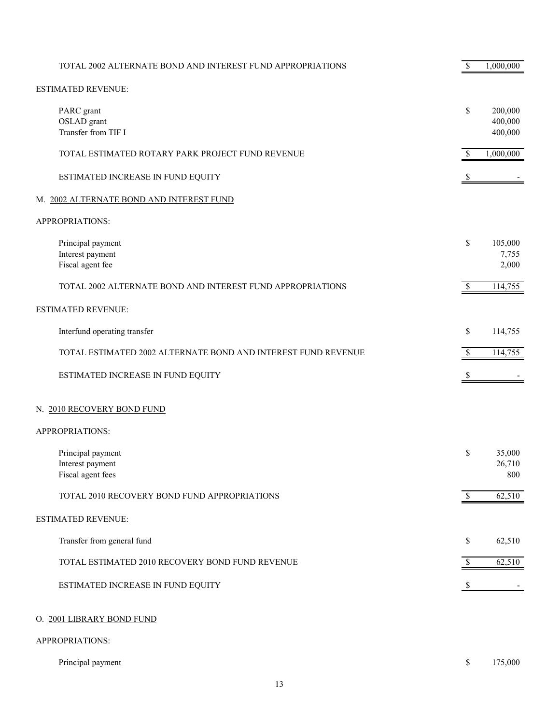| TOTAL 2002 ALTERNATE BOND AND INTEREST FUND APPROPRIATIONS    | \$           | 1,000,000                     |
|---------------------------------------------------------------|--------------|-------------------------------|
| <b>ESTIMATED REVENUE:</b>                                     |              |                               |
| PARC grant<br>OSLAD grant<br>Transfer from TIF I              | \$           | 200,000<br>400,000<br>400,000 |
| TOTAL ESTIMATED ROTARY PARK PROJECT FUND REVENUE              | \$           | 1,000,000                     |
| ESTIMATED INCREASE IN FUND EQUITY                             |              |                               |
| M. 2002 ALTERNATE BOND AND INTEREST FUND                      |              |                               |
| APPROPRIATIONS:                                               |              |                               |
| Principal payment<br>Interest payment<br>Fiscal agent fee     | \$           | 105,000<br>7,755<br>2,000     |
| TOTAL 2002 ALTERNATE BOND AND INTEREST FUND APPROPRIATIONS    | \$           | 114,755                       |
| <b>ESTIMATED REVENUE:</b>                                     |              |                               |
| Interfund operating transfer                                  | \$           | 114,755                       |
| TOTAL ESTIMATED 2002 ALTERNATE BOND AND INTEREST FUND REVENUE | \$           | 114,755                       |
| ESTIMATED INCREASE IN FUND EQUITY                             | S            |                               |
| N. 2010 RECOVERY BOND FUND                                    |              |                               |
| APPROPRIATIONS:                                               |              |                               |
| Principal payment<br>Interest payment<br>Fiscal agent fees    | \$           | 35,000<br>26,710<br>800       |
| TOTAL 2010 RECOVERY BOND FUND APPROPRIATIONS                  | $\mathbb{S}$ | 62,510                        |
| <b>ESTIMATED REVENUE:</b>                                     |              |                               |
| Transfer from general fund                                    | \$           | 62,510                        |
| TOTAL ESTIMATED 2010 RECOVERY BOND FUND REVENUE               | \$           | 62,510                        |
| ESTIMATED INCREASE IN FUND EQUITY                             | \$           |                               |
| O. 2001 LIBRARY BOND FUND                                     |              |                               |
| APPROPRIATIONS:                                               |              |                               |
| Principal payment                                             | \$           | 175,000                       |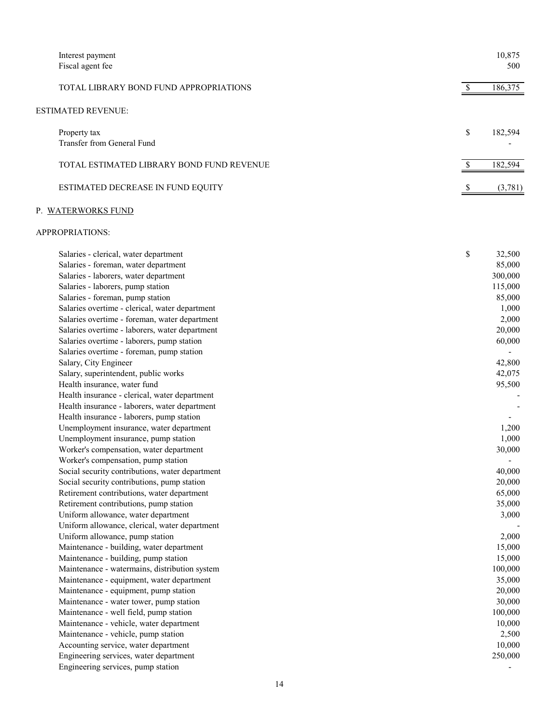| Interest payment<br>Fiscal agent fee                                                                                                                                                                                                                                                                                                                                                                                                                                                                                                                                                                                                                                                                                                                                                                                                                                                                                                                                                                                                                                                                                                                                                                                                                                                                                                                                                                                                                                                                       | 10,875<br>500                                                                                                                                                                                                                                                                            |
|------------------------------------------------------------------------------------------------------------------------------------------------------------------------------------------------------------------------------------------------------------------------------------------------------------------------------------------------------------------------------------------------------------------------------------------------------------------------------------------------------------------------------------------------------------------------------------------------------------------------------------------------------------------------------------------------------------------------------------------------------------------------------------------------------------------------------------------------------------------------------------------------------------------------------------------------------------------------------------------------------------------------------------------------------------------------------------------------------------------------------------------------------------------------------------------------------------------------------------------------------------------------------------------------------------------------------------------------------------------------------------------------------------------------------------------------------------------------------------------------------------|------------------------------------------------------------------------------------------------------------------------------------------------------------------------------------------------------------------------------------------------------------------------------------------|
| TOTAL LIBRARY BOND FUND APPROPRIATIONS                                                                                                                                                                                                                                                                                                                                                                                                                                                                                                                                                                                                                                                                                                                                                                                                                                                                                                                                                                                                                                                                                                                                                                                                                                                                                                                                                                                                                                                                     | \$<br>186,375                                                                                                                                                                                                                                                                            |
| ESTIMATED REVENUE:                                                                                                                                                                                                                                                                                                                                                                                                                                                                                                                                                                                                                                                                                                                                                                                                                                                                                                                                                                                                                                                                                                                                                                                                                                                                                                                                                                                                                                                                                         |                                                                                                                                                                                                                                                                                          |
| Property tax<br>Transfer from General Fund                                                                                                                                                                                                                                                                                                                                                                                                                                                                                                                                                                                                                                                                                                                                                                                                                                                                                                                                                                                                                                                                                                                                                                                                                                                                                                                                                                                                                                                                 | \$<br>182,594                                                                                                                                                                                                                                                                            |
| TOTAL ESTIMATED LIBRARY BOND FUND REVENUE                                                                                                                                                                                                                                                                                                                                                                                                                                                                                                                                                                                                                                                                                                                                                                                                                                                                                                                                                                                                                                                                                                                                                                                                                                                                                                                                                                                                                                                                  | 182,594                                                                                                                                                                                                                                                                                  |
| ESTIMATED DECREASE IN FUND EQUITY                                                                                                                                                                                                                                                                                                                                                                                                                                                                                                                                                                                                                                                                                                                                                                                                                                                                                                                                                                                                                                                                                                                                                                                                                                                                                                                                                                                                                                                                          | (3,781)                                                                                                                                                                                                                                                                                  |
| P. WATERWORKS FUND                                                                                                                                                                                                                                                                                                                                                                                                                                                                                                                                                                                                                                                                                                                                                                                                                                                                                                                                                                                                                                                                                                                                                                                                                                                                                                                                                                                                                                                                                         |                                                                                                                                                                                                                                                                                          |
| APPROPRIATIONS:                                                                                                                                                                                                                                                                                                                                                                                                                                                                                                                                                                                                                                                                                                                                                                                                                                                                                                                                                                                                                                                                                                                                                                                                                                                                                                                                                                                                                                                                                            |                                                                                                                                                                                                                                                                                          |
| Salaries - clerical, water department<br>Salaries - foreman, water department<br>Salaries - laborers, water department<br>Salaries - laborers, pump station<br>Salaries - foreman, pump station<br>Salaries overtime - clerical, water department<br>Salaries overtime - foreman, water department<br>Salaries overtime - laborers, water department<br>Salaries overtime - laborers, pump station<br>Salaries overtime - foreman, pump station<br>Salary, City Engineer<br>Salary, superintendent, public works<br>Health insurance, water fund<br>Health insurance - clerical, water department<br>Health insurance - laborers, water department<br>Health insurance - laborers, pump station<br>Unemployment insurance, water department<br>Unemployment insurance, pump station<br>Worker's compensation, water department<br>Worker's compensation, pump station<br>Social security contributions, water department<br>Social security contributions, pump station<br>Retirement contributions, water department<br>Retirement contributions, pump station<br>Uniform allowance, water department<br>Uniform allowance, clerical, water department<br>Uniform allowance, pump station<br>Maintenance - building, water department<br>Maintenance - building, pump station<br>Maintenance - watermains, distribution system<br>Maintenance - equipment, water department<br>Maintenance - equipment, pump station<br>Maintenance - water tower, pump station<br>Maintenance - well field, pump station | \$<br>32,500<br>85,000<br>300,000<br>115,000<br>85,000<br>1,000<br>2,000<br>20,000<br>60,000<br>42,800<br>42,075<br>95,500<br>1,200<br>1,000<br>30,000<br>40,000<br>20,000<br>65,000<br>35,000<br>3,000<br>2,000<br>15,000<br>15,000<br>100,000<br>35,000<br>20,000<br>30,000<br>100,000 |
| Maintenance - vehicle, water department<br>Maintenance - vehicle, pump station<br>Accounting service, water department<br>Engineering services, water department<br>Engineering services, pump station                                                                                                                                                                                                                                                                                                                                                                                                                                                                                                                                                                                                                                                                                                                                                                                                                                                                                                                                                                                                                                                                                                                                                                                                                                                                                                     | 10,000<br>2,500<br>10,000<br>250,000                                                                                                                                                                                                                                                     |
|                                                                                                                                                                                                                                                                                                                                                                                                                                                                                                                                                                                                                                                                                                                                                                                                                                                                                                                                                                                                                                                                                                                                                                                                                                                                                                                                                                                                                                                                                                            |                                                                                                                                                                                                                                                                                          |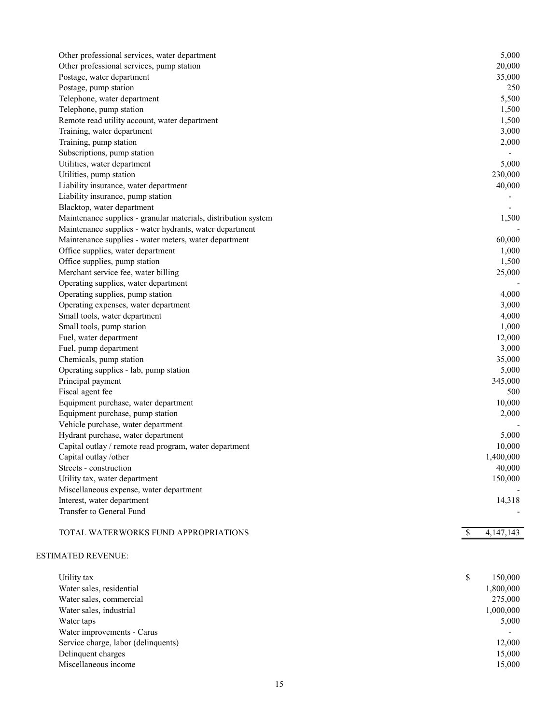| Other professional services, water department                  | 5,000             |
|----------------------------------------------------------------|-------------------|
| Other professional services, pump station                      | 20,000            |
| Postage, water department                                      | 35,000            |
| Postage, pump station                                          | 250               |
| Telephone, water department                                    | 5,500             |
| Telephone, pump station                                        | 1,500             |
| Remote read utility account, water department                  | 1,500             |
| Training, water department                                     | 3,000             |
| Training, pump station                                         | 2,000             |
| Subscriptions, pump station                                    |                   |
| Utilities, water department                                    | 5,000             |
| Utilities, pump station                                        | 230,000           |
| Liability insurance, water department                          | 40,000            |
| Liability insurance, pump station                              |                   |
| Blacktop, water department                                     |                   |
| Maintenance supplies - granular materials, distribution system | 1,500             |
| Maintenance supplies - water hydrants, water department        |                   |
| Maintenance supplies - water meters, water department          | 60,000            |
| Office supplies, water department                              | 1,000             |
| Office supplies, pump station                                  | 1,500             |
| Merchant service fee, water billing                            | 25,000            |
|                                                                |                   |
| Operating supplies, water department                           |                   |
| Operating supplies, pump station                               | 4,000             |
| Operating expenses, water department                           | 3,000             |
| Small tools, water department                                  | 4,000             |
| Small tools, pump station                                      | 1,000             |
| Fuel, water department                                         | 12,000            |
| Fuel, pump department                                          | 3,000             |
| Chemicals, pump station                                        | 35,000            |
| Operating supplies - lab, pump station                         | 5,000             |
| Principal payment                                              | 345,000           |
| Fiscal agent fee                                               | 500               |
| Equipment purchase, water department                           | 10,000            |
| Equipment purchase, pump station                               | 2,000             |
| Vehicle purchase, water department                             |                   |
| Hydrant purchase, water department                             | 5,000             |
| Capital outlay / remote read program, water department         | 10,000            |
| Capital outlay/other                                           | 1,400,000         |
| Streets - construction                                         | 40,000            |
| Utility tax, water department                                  | 150,000           |
| Miscellaneous expense, water department                        |                   |
| Interest, water department                                     | 14,318            |
| Transfer to General Fund                                       |                   |
|                                                                |                   |
| TOTAL WATERWORKS FUND APPROPRIATIONS                           | \$<br>4, 147, 143 |
|                                                                |                   |
| <b>ESTIMATED REVENUE:</b>                                      |                   |
|                                                                |                   |
| Utility tax                                                    | \$<br>150,000     |
| Water sales, residential                                       |                   |
| Water sales, commercial                                        | 1,800,000         |
|                                                                | 275,000           |
| Water sales, industrial                                        | 1,000,000         |
| Water taps                                                     | 5,000             |
| Water improvements - Carus                                     |                   |
| Service charge, labor (delinquents)                            | 12,000            |
| Delinquent charges                                             | 15,000            |

Miscellaneous income 15,000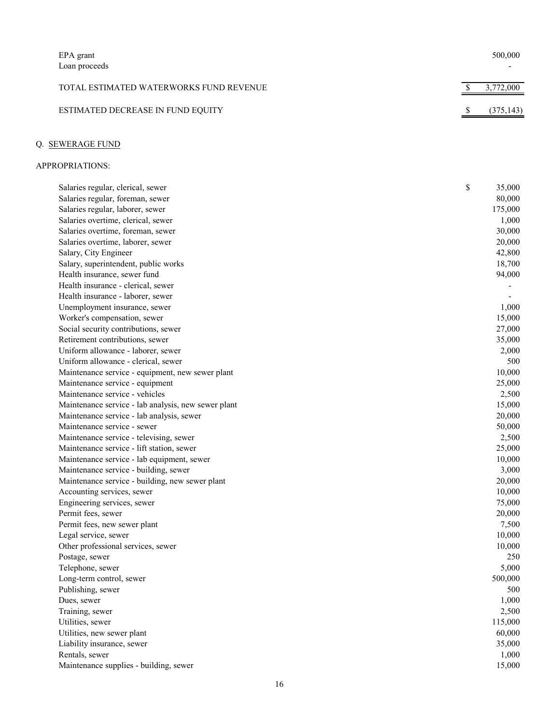| EPA grant<br>Loan proceeds              | 500,000    |
|-----------------------------------------|------------|
| TOTAL ESTIMATED WATERWORKS FUND REVENUE | 3,772,000  |
| ESTIMATED DECREASE IN FUND EQUITY       | (375, 143) |

# Q. SEWERAGE FUND

| Salaries regular, clerical, sewer                   | \$<br>35,000 |
|-----------------------------------------------------|--------------|
| Salaries regular, foreman, sewer                    | 80,000       |
| Salaries regular, laborer, sewer                    | 175,000      |
| Salaries overtime, clerical, sewer                  | 1,000        |
| Salaries overtime, foreman, sewer                   | 30,000       |
| Salaries overtime, laborer, sewer                   | 20,000       |
| Salary, City Engineer                               | 42,800       |
| Salary, superintendent, public works                | 18,700       |
| Health insurance, sewer fund                        | 94,000       |
| Health insurance - clerical, sewer                  |              |
| Health insurance - laborer, sewer                   |              |
| Unemployment insurance, sewer                       | 1,000        |
| Worker's compensation, sewer                        | 15,000       |
| Social security contributions, sewer                | 27,000       |
| Retirement contributions, sewer                     | 35,000       |
| Uniform allowance - laborer, sewer                  | 2,000        |
| Uniform allowance - clerical, sewer                 | 500          |
| Maintenance service - equipment, new sewer plant    | 10,000       |
| Maintenance service - equipment                     | 25,000       |
| Maintenance service - vehicles                      | 2,500        |
| Maintenance service - lab analysis, new sewer plant | 15,000       |
| Maintenance service - lab analysis, sewer           | 20,000       |
| Maintenance service - sewer                         | 50,000       |
| Maintenance service - televising, sewer             | 2,500        |
| Maintenance service - lift station, sewer           | 25,000       |
| Maintenance service - lab equipment, sewer          | 10,000       |
| Maintenance service - building, sewer               | 3,000        |
| Maintenance service - building, new sewer plant     | 20,000       |
| Accounting services, sewer                          | 10,000       |
| Engineering services, sewer                         | 75,000       |
| Permit fees, sewer                                  | 20,000       |
| Permit fees, new sewer plant                        | 7,500        |
| Legal service, sewer                                | 10,000       |
| Other professional services, sewer                  | 10,000       |
| Postage, sewer                                      | 250          |
| Telephone, sewer                                    | 5,000        |
| Long-term control, sewer                            | 500,000      |
| Publishing, sewer                                   | 500          |
| Dues, sewer                                         | 1,000        |
| Training, sewer                                     | 2,500        |
| Utilities, sewer                                    | 115,000      |
| Utilities, new sewer plant                          | 60,000       |
| Liability insurance, sewer                          | 35,000       |
| Rentals, sewer                                      | 1,000        |
| Maintenance supplies - building, sewer              | 15,000       |
|                                                     |              |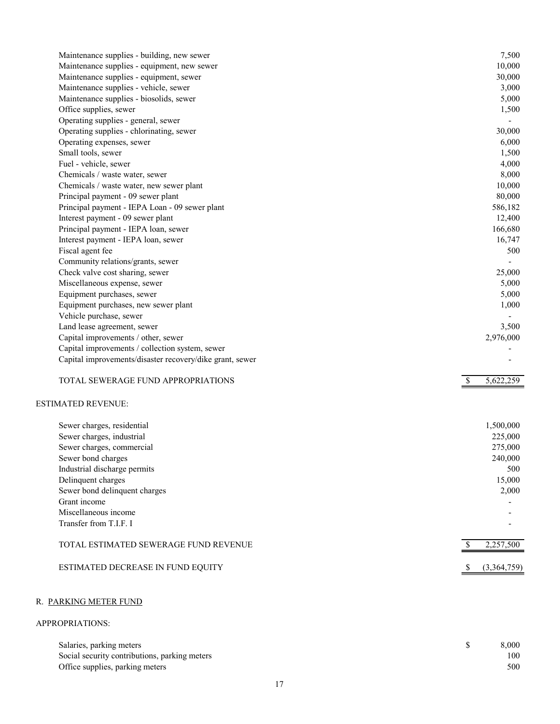| 7,500<br>Maintenance supplies - building, new sewer<br>Maintenance supplies - equipment, new sewer<br>10,000<br>Maintenance supplies - equipment, sewer<br>30,000<br>Maintenance supplies - vehicle, sewer<br>3,000<br>Maintenance supplies - biosolids, sewer<br>5,000<br>Office supplies, sewer<br>1,500<br>Operating supplies - general, sewer<br>Operating supplies - chlorinating, sewer<br>30,000<br>Operating expenses, sewer<br>6,000<br>Small tools, sewer<br>1,500<br>Fuel - vehicle, sewer<br>4,000<br>Chemicals / waste water, sewer<br>8,000<br>Chemicals / waste water, new sewer plant<br>10,000<br>80,000<br>Principal payment - 09 sewer plant |
|-----------------------------------------------------------------------------------------------------------------------------------------------------------------------------------------------------------------------------------------------------------------------------------------------------------------------------------------------------------------------------------------------------------------------------------------------------------------------------------------------------------------------------------------------------------------------------------------------------------------------------------------------------------------|
|                                                                                                                                                                                                                                                                                                                                                                                                                                                                                                                                                                                                                                                                 |
|                                                                                                                                                                                                                                                                                                                                                                                                                                                                                                                                                                                                                                                                 |
|                                                                                                                                                                                                                                                                                                                                                                                                                                                                                                                                                                                                                                                                 |
|                                                                                                                                                                                                                                                                                                                                                                                                                                                                                                                                                                                                                                                                 |
|                                                                                                                                                                                                                                                                                                                                                                                                                                                                                                                                                                                                                                                                 |
|                                                                                                                                                                                                                                                                                                                                                                                                                                                                                                                                                                                                                                                                 |
|                                                                                                                                                                                                                                                                                                                                                                                                                                                                                                                                                                                                                                                                 |
|                                                                                                                                                                                                                                                                                                                                                                                                                                                                                                                                                                                                                                                                 |
|                                                                                                                                                                                                                                                                                                                                                                                                                                                                                                                                                                                                                                                                 |
|                                                                                                                                                                                                                                                                                                                                                                                                                                                                                                                                                                                                                                                                 |
|                                                                                                                                                                                                                                                                                                                                                                                                                                                                                                                                                                                                                                                                 |
|                                                                                                                                                                                                                                                                                                                                                                                                                                                                                                                                                                                                                                                                 |
|                                                                                                                                                                                                                                                                                                                                                                                                                                                                                                                                                                                                                                                                 |
|                                                                                                                                                                                                                                                                                                                                                                                                                                                                                                                                                                                                                                                                 |
| Principal payment - IEPA Loan - 09 sewer plant<br>586,182                                                                                                                                                                                                                                                                                                                                                                                                                                                                                                                                                                                                       |
| Interest payment - 09 sewer plant<br>12,400                                                                                                                                                                                                                                                                                                                                                                                                                                                                                                                                                                                                                     |
| Principal payment - IEPA loan, sewer<br>166,680                                                                                                                                                                                                                                                                                                                                                                                                                                                                                                                                                                                                                 |
| Interest payment - IEPA loan, sewer<br>16,747                                                                                                                                                                                                                                                                                                                                                                                                                                                                                                                                                                                                                   |
| Fiscal agent fee<br>500                                                                                                                                                                                                                                                                                                                                                                                                                                                                                                                                                                                                                                         |
| Community relations/grants, sewer                                                                                                                                                                                                                                                                                                                                                                                                                                                                                                                                                                                                                               |
| Check valve cost sharing, sewer<br>25,000                                                                                                                                                                                                                                                                                                                                                                                                                                                                                                                                                                                                                       |
| Miscellaneous expense, sewer<br>5,000                                                                                                                                                                                                                                                                                                                                                                                                                                                                                                                                                                                                                           |
| Equipment purchases, sewer<br>5,000                                                                                                                                                                                                                                                                                                                                                                                                                                                                                                                                                                                                                             |
| Equipment purchases, new sewer plant<br>1,000                                                                                                                                                                                                                                                                                                                                                                                                                                                                                                                                                                                                                   |
| Vehicle purchase, sewer                                                                                                                                                                                                                                                                                                                                                                                                                                                                                                                                                                                                                                         |
| Land lease agreement, sewer<br>3,500                                                                                                                                                                                                                                                                                                                                                                                                                                                                                                                                                                                                                            |
| Capital improvements / other, sewer<br>2,976,000                                                                                                                                                                                                                                                                                                                                                                                                                                                                                                                                                                                                                |
| Capital improvements / collection system, sewer                                                                                                                                                                                                                                                                                                                                                                                                                                                                                                                                                                                                                 |
| Capital improvements/disaster recovery/dike grant, sewer                                                                                                                                                                                                                                                                                                                                                                                                                                                                                                                                                                                                        |
|                                                                                                                                                                                                                                                                                                                                                                                                                                                                                                                                                                                                                                                                 |
| TOTAL SEWERAGE FUND APPROPRIATIONS<br>5,622,259<br><sup>\$</sup>                                                                                                                                                                                                                                                                                                                                                                                                                                                                                                                                                                                                |
| <b>ESTIMATED REVENUE:</b>                                                                                                                                                                                                                                                                                                                                                                                                                                                                                                                                                                                                                                       |
| Sewer charges, residential<br>1,500,000                                                                                                                                                                                                                                                                                                                                                                                                                                                                                                                                                                                                                         |
| Sewer charges, industrial<br>225,000                                                                                                                                                                                                                                                                                                                                                                                                                                                                                                                                                                                                                            |
| Sewer charges, commercial<br>275,000                                                                                                                                                                                                                                                                                                                                                                                                                                                                                                                                                                                                                            |
| 240,000<br>Sewer bond charges                                                                                                                                                                                                                                                                                                                                                                                                                                                                                                                                                                                                                                   |
| Industrial discharge permits<br>500                                                                                                                                                                                                                                                                                                                                                                                                                                                                                                                                                                                                                             |
| Delinquent charges<br>15,000                                                                                                                                                                                                                                                                                                                                                                                                                                                                                                                                                                                                                                    |
| Sewer bond delinquent charges<br>2,000                                                                                                                                                                                                                                                                                                                                                                                                                                                                                                                                                                                                                          |
| Grant income                                                                                                                                                                                                                                                                                                                                                                                                                                                                                                                                                                                                                                                    |
| Miscellaneous income                                                                                                                                                                                                                                                                                                                                                                                                                                                                                                                                                                                                                                            |
| Transfer from T.I.F. I                                                                                                                                                                                                                                                                                                                                                                                                                                                                                                                                                                                                                                          |
|                                                                                                                                                                                                                                                                                                                                                                                                                                                                                                                                                                                                                                                                 |
| 2,257,500<br>TOTAL ESTIMATED SEWERAGE FUND REVENUE                                                                                                                                                                                                                                                                                                                                                                                                                                                                                                                                                                                                              |
| ESTIMATED DECREASE IN FUND EQUITY<br>(3,364,759)                                                                                                                                                                                                                                                                                                                                                                                                                                                                                                                                                                                                                |

# R. PARKING METER FUND

| Salaries, parking meters                      | 8.000 |
|-----------------------------------------------|-------|
| Social security contributions, parking meters | 100   |
| Office supplies, parking meters               | 500   |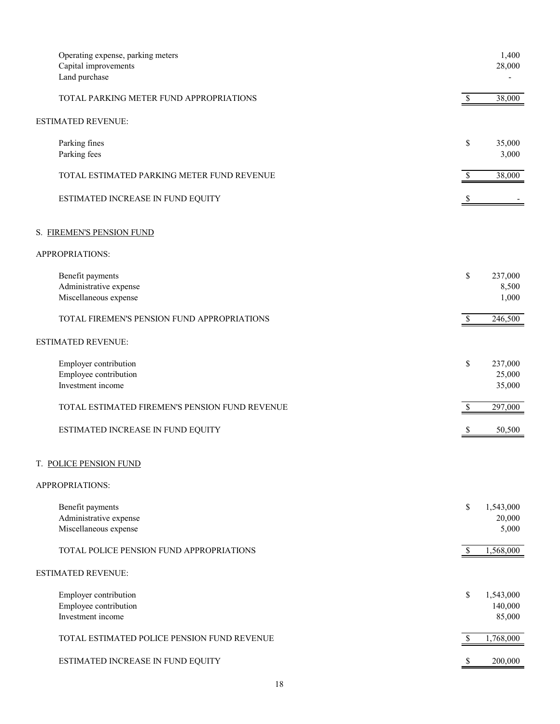| Operating expense, parking meters              |                           | 1,400     |
|------------------------------------------------|---------------------------|-----------|
| Capital improvements                           |                           | 28,000    |
| Land purchase                                  |                           |           |
| TOTAL PARKING METER FUND APPROPRIATIONS        | $\boldsymbol{\mathsf{S}}$ | 38,000    |
| <b>ESTIMATED REVENUE:</b>                      |                           |           |
| Parking fines                                  | \$                        | 35,000    |
| Parking fees                                   |                           | 3,000     |
| TOTAL ESTIMATED PARKING METER FUND REVENUE     | \$                        | 38,000    |
| ESTIMATED INCREASE IN FUND EQUITY              | \$                        |           |
| S. FIREMEN'S PENSION FUND                      |                           |           |
| APPROPRIATIONS:                                |                           |           |
| Benefit payments                               | \$                        | 237,000   |
| Administrative expense                         |                           | 8,500     |
| Miscellaneous expense                          |                           | 1,000     |
| TOTAL FIREMEN'S PENSION FUND APPROPRIATIONS    | $\mathbb{S}$              | 246,500   |
| <b>ESTIMATED REVENUE:</b>                      |                           |           |
| Employer contribution                          | \$                        | 237,000   |
| Employee contribution                          |                           | 25,000    |
| Investment income                              |                           | 35,000    |
| TOTAL ESTIMATED FIREMEN'S PENSION FUND REVENUE | $\boldsymbol{\mathsf{S}}$ | 297,000   |
| ESTIMATED INCREASE IN FUND EQUITY              | -S                        | 50,500    |
|                                                |                           |           |
| T. POLICE PENSION FUND                         |                           |           |
| APPROPRIATIONS:                                |                           |           |
| Benefit payments                               | \$                        | 1,543,000 |
| Administrative expense                         |                           | 20,000    |
| Miscellaneous expense                          |                           | 5,000     |
| TOTAL POLICE PENSION FUND APPROPRIATIONS       | \$                        | 1,568,000 |
| ESTIMATED REVENUE:                             |                           |           |
| Employer contribution                          | \$                        | 1,543,000 |
| Employee contribution                          |                           | 140,000   |
| Investment income                              |                           | 85,000    |
| TOTAL ESTIMATED POLICE PENSION FUND REVENUE    | \$                        | 1,768,000 |
| ESTIMATED INCREASE IN FUND EQUITY              | S                         | 200,000   |
|                                                |                           |           |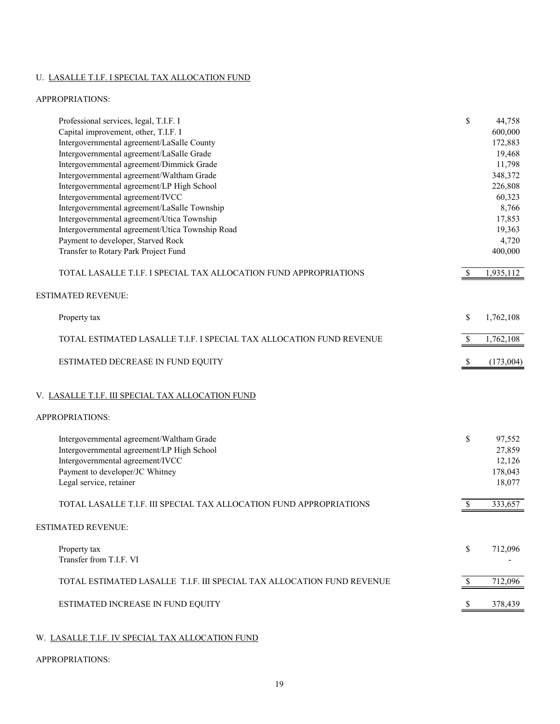# U. LASALLE T.I.F. I SPECIAL TAX ALLOCATION FUND

## APPROPRIATIONS:

| Professional services, legal, T.I.F. I                                 | \$            | 44,758    |
|------------------------------------------------------------------------|---------------|-----------|
| Capital improvement, other, T.I.F. I                                   |               | 600,000   |
| Intergovernmental agreement/LaSalle County                             |               | 172,883   |
| Intergovernmental agreement/LaSalle Grade                              |               | 19,468    |
| Intergovernmental agreement/Dimmick Grade                              |               | 11,798    |
| Intergovernmental agreement/Waltham Grade                              |               | 348,372   |
| Intergovernmental agreement/LP High School                             |               | 226,808   |
|                                                                        |               |           |
| Intergovernmental agreement/IVCC                                       |               | 60,323    |
| Intergovernmental agreement/LaSalle Township                           |               | 8,766     |
| Intergovernmental agreement/Utica Township                             |               | 17,853    |
| Intergovernmental agreement/Utica Township Road                        |               | 19,363    |
| Payment to developer, Starved Rock                                     |               | 4,720     |
| Transfer to Rotary Park Project Fund                                   |               | 400,000   |
| TOTAL LASALLE T.I.F. I SPECIAL TAX ALLOCATION FUND APPROPRIATIONS      |               | 1,935,112 |
| <b>ESTIMATED REVENUE:</b>                                              |               |           |
| Property tax                                                           | \$            | 1,762,108 |
| TOTAL ESTIMATED LASALLE T.I.F. I SPECIAL TAX ALLOCATION FUND REVENUE   | <sup>\$</sup> | 1,762,108 |
| ESTIMATED DECREASE IN FUND EQUITY                                      | -S            | (173,004) |
| V. LASALLE T.I.F. III SPECIAL TAX ALLOCATION FUND<br>APPROPRIATIONS:   |               |           |
|                                                                        |               |           |
| Intergovernmental agreement/Waltham Grade                              | \$            | 97,552    |
| Intergovernmental agreement/LP High School                             |               | 27,859    |
| Intergovernmental agreement/IVCC                                       |               | 12,126    |
| Payment to developer/JC Whitney                                        |               | 178,043   |
| Legal service, retainer                                                |               | 18,077    |
|                                                                        |               |           |
| TOTAL LASALLE T.I.F. III SPECIAL TAX ALLOCATION FUND APPROPRIATIONS    |               | 333,657   |
| <b>ESTIMATED REVENUE:</b>                                              |               |           |
| Property tax                                                           | \$            | 712,096   |
| Transfer from T.I.F. VI                                                |               |           |
|                                                                        |               |           |
| TOTAL ESTIMATED LASALLE T.I.F. III SPECIAL TAX ALLOCATION FUND REVENUE | -S            | 712,096   |
| ESTIMATED INCREASE IN FUND EQUITY                                      |               | 378,439   |
|                                                                        |               |           |

# W. LASALLE T.I.F. IV SPECIAL TAX ALLOCATION FUND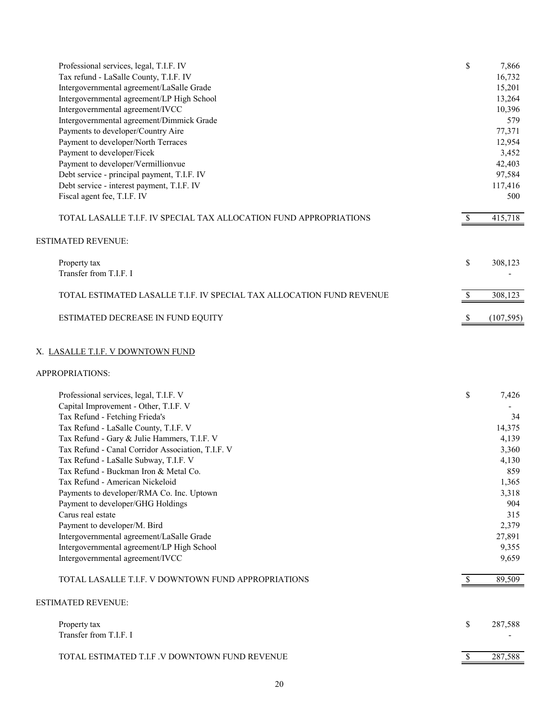| Professional services, legal, T.I.F. IV                               | \$            | 7,866      |
|-----------------------------------------------------------------------|---------------|------------|
| Tax refund - LaSalle County, T.I.F. IV                                |               | 16,732     |
| Intergovernmental agreement/LaSalle Grade                             |               | 15,201     |
| Intergovernmental agreement/LP High School                            |               | 13,264     |
| Intergovernmental agreement/IVCC                                      |               | 10,396     |
| Intergovernmental agreement/Dimmick Grade                             |               | 579        |
| Payments to developer/Country Aire                                    |               | 77,371     |
| Payment to developer/North Terraces                                   |               | 12,954     |
| Payment to developer/Ficek                                            |               | 3,452      |
| Payment to developer/Vermillionvue                                    |               | 42,403     |
| Debt service - principal payment, T.I.F. IV                           |               | 97,584     |
| Debt service - interest payment, T.I.F. IV                            |               | 117,416    |
| Fiscal agent fee, T.I.F. IV                                           |               | 500        |
| TOTAL LASALLE T.I.F. IV SPECIAL TAX ALLOCATION FUND APPROPRIATIONS    |               | 415,718    |
| <b>ESTIMATED REVENUE:</b>                                             |               |            |
| Property tax                                                          | \$            | 308,123    |
| Transfer from T.I.F. I                                                |               |            |
| TOTAL ESTIMATED LASALLE T.I.F. IV SPECIAL TAX ALLOCATION FUND REVENUE | <sup>\$</sup> | 308,123    |
| ESTIMATED DECREASE IN FUND EQUITY                                     | S             | (107, 595) |

# X. LASALLE T.I.F. V DOWNTOWN FUND

#### APPROPRIATIONS:

| Professional services, legal, T.I.F. V              | \$ | 7,426   |
|-----------------------------------------------------|----|---------|
| Capital Improvement - Other, T.I.F. V               |    |         |
| Tax Refund - Fetching Frieda's                      |    | 34      |
| Tax Refund - LaSalle County, T.I.F. V               |    | 14,375  |
| Tax Refund - Gary & Julie Hammers, T.I.F. V         |    | 4,139   |
| Tax Refund - Canal Corridor Association, T.I.F. V   |    | 3,360   |
| Tax Refund - LaSalle Subway, T.I.F. V               |    | 4,130   |
| Tax Refund - Buckman Iron & Metal Co.               |    | 859     |
| Tax Refund - American Nickeloid                     |    | 1,365   |
| Payments to developer/RMA Co. Inc. Uptown           |    | 3,318   |
| Payment to developer/GHG Holdings                   |    | 904     |
| Carus real estate                                   |    | 315     |
| Payment to developer/M. Bird                        |    | 2,379   |
| Intergovernmental agreement/LaSalle Grade           |    | 27,891  |
| Intergovernmental agreement/LP High School          |    | 9,355   |
| Intergovernmental agreement/IVCC                    |    | 9,659   |
| TOTAL LASALLE T.I.F. V DOWNTOWN FUND APPROPRIATIONS | -S | 89,509  |
| <b>ESTIMATED REVENUE:</b>                           |    |         |
| Property tax<br>Transfer from T.I.F. I              | \$ | 287,588 |

TOTAL ESTIMATED T.I.F .V DOWNTOWN FUND REVENUE **\$** 287,588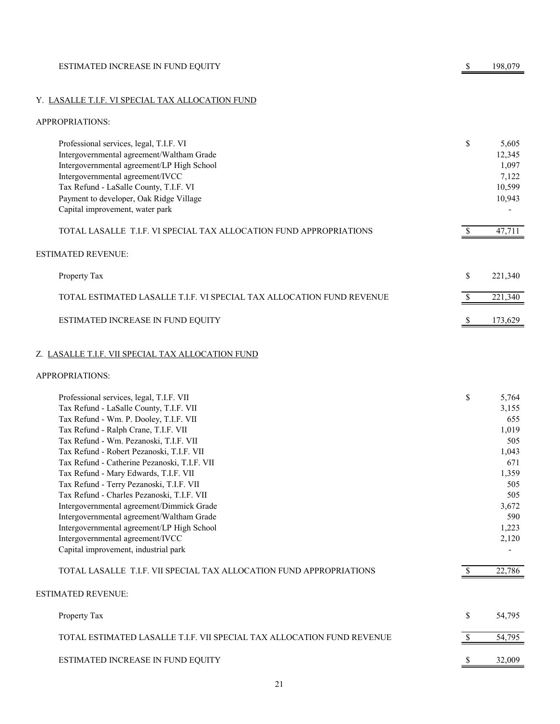|  | ESTIMATED INCREASE IN FUND EQUITY | 198,079 |
|--|-----------------------------------|---------|
|--|-----------------------------------|---------|

## Y. LASALLE T.I.F. VI SPECIAL TAX ALLOCATION FUND

## APPROPRIATIONS:

| Professional services, legal, T.I.F. VI                               | \$<br>5,605   |
|-----------------------------------------------------------------------|---------------|
| Intergovernmental agreement/Waltham Grade                             | 12,345        |
| Intergovernmental agreement/LP High School                            | 1,097         |
| Intergovernmental agreement/IVCC                                      | 7,122         |
| Tax Refund - LaSalle County, T.I.F. VI                                | 10,599        |
| Payment to developer, Oak Ridge Village                               | 10,943        |
| Capital improvement, water park                                       |               |
| TOTAL LASALLE, T.I.F. VI SPECIAL TAX ALLOCATION FUND APPROPRIATIONS   | 47,711        |
| <b>ESTIMATED REVENUE:</b>                                             |               |
| Property Tax                                                          | \$<br>221,340 |
| TOTAL ESTIMATED LASALLE T.I.F. VI SPECIAL TAX ALLOCATION FUND REVENUE | 221,340       |
| ESTIMATED INCREASE IN FUND EQUITY                                     | 173,629       |
| Z. LASALLE T.I.F. VII SPECIAL TAX ALLOCATION FUND                     |               |

| Professional services, legal, T.I.F. VII                               | \$ | 5,764  |
|------------------------------------------------------------------------|----|--------|
| Tax Refund - LaSalle County, T.I.F. VII                                |    | 3,155  |
| Tax Refund - Wm. P. Dooley, T.I.F. VII                                 |    | 655    |
| Tax Refund - Ralph Crane, T.I.F. VII                                   |    | 1,019  |
| Tax Refund - Wm. Pezanoski, T.I.F. VII                                 |    | 505    |
| Tax Refund - Robert Pezanoski, T.I.F. VII                              |    | 1,043  |
| Tax Refund - Catherine Pezanoski, T.I.F. VII                           |    | 671    |
| Tax Refund - Mary Edwards, T.I.F. VII                                  |    | 1,359  |
| Tax Refund - Terry Pezanoski, T.I.F. VII                               |    | 505    |
| Tax Refund - Charles Pezanoski, T.I.F. VII                             |    | 505    |
| Intergovernmental agreement/Dimmick Grade                              |    | 3,672  |
| Intergovernmental agreement/Waltham Grade                              |    | 590    |
| Intergovernmental agreement/LP High School                             |    | 1,223  |
| Intergovernmental agreement/IVCC                                       |    | 2,120  |
| Capital improvement, industrial park                                   |    |        |
| TOTAL LASALLE T.I.F. VII SPECIAL TAX ALLOCATION FUND APPROPRIATIONS    |    | 22,786 |
| <b>ESTIMATED REVENUE:</b>                                              |    |        |
| Property Tax                                                           | \$ | 54,795 |
| TOTAL ESTIMATED LASALLE T.I.F. VII SPECIAL TAX ALLOCATION FUND REVENUE |    | 54,795 |
| ESTIMATED INCREASE IN FUND EQUITY                                      | S  | 32,009 |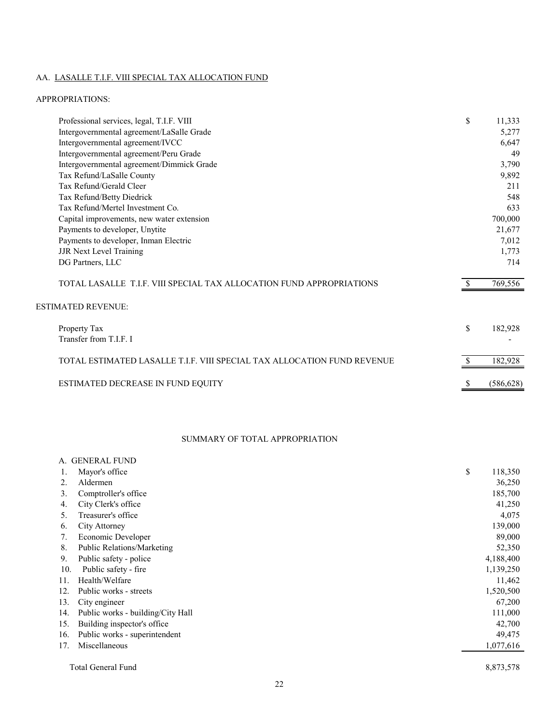# AA. LASALLE T.I.F. VIII SPECIAL TAX ALLOCATION FUND

#### APPROPRIATIONS:

| Professional services, legal, T.I.F. VIII                               | \$           | 11,333     |
|-------------------------------------------------------------------------|--------------|------------|
| Intergovernmental agreement/LaSalle Grade                               |              | 5,277      |
| Intergovernmental agreement/IVCC                                        |              | 6,647      |
| Intergovernmental agreement/Peru Grade                                  |              | 49         |
| Intergovernmental agreement/Dimmick Grade                               |              | 3,790      |
| Tax Refund/LaSalle County                                               |              | 9,892      |
| Tax Refund/Gerald Cleer                                                 |              | 211        |
| Tax Refund/Betty Diedrick                                               |              | 548        |
| Tax Refund/Mertel Investment Co.                                        |              | 633        |
| Capital improvements, new water extension                               |              | 700,000    |
| Payments to developer, Unytite                                          |              | 21,677     |
| Payments to developer, Inman Electric                                   |              | 7,012      |
| <b>JJR Next Level Training</b>                                          |              | 1,773      |
| DG Partners, LLC                                                        |              | 714        |
| TOTAL LASALLE T.I.F. VIII SPECIAL TAX ALLOCATION FUND APPROPRIATIONS    |              | 769,556    |
| <b>ESTIMATED REVENUE:</b>                                               |              |            |
| Property Tax                                                            | \$           | 182,928    |
| Transfer from T.I.F. I                                                  |              |            |
| TOTAL ESTIMATED LASALLE T.I.F. VIII SPECIAL TAX ALLOCATION FUND REVENUE |              | 182,928    |
| ESTIMATED DECREASE IN FUND EQUITY                                       | <sup>S</sup> | (586, 628) |

## SUMMARY OF TOTAL APPROPRIATION

| A.  | <b>GENERAL FUND</b>               |               |
|-----|-----------------------------------|---------------|
| ī.  | Mayor's office                    | \$<br>118,350 |
| 2.  | Aldermen                          | 36,250        |
| 3.  | Comptroller's office              | 185,700       |
| 4.  | City Clerk's office               | 41,250        |
| 5.  | Treasurer's office                | 4,075         |
| 6.  | City Attorney                     | 139,000       |
| 7.  | Economic Developer                | 89,000        |
| 8.  | Public Relations/Marketing        | 52,350        |
| 9.  | Public safety - police            | 4,188,400     |
| 10. | Public safety - fire              | 1,139,250     |
| 11. | Health/Welfare                    | 11,462        |
| 12. | Public works - streets            | 1,520,500     |
| 13. | City engineer                     | 67,200        |
| 14. | Public works - building/City Hall | 111,000       |
| 15. | Building inspector's office.      | 42,700        |
| 16. | Public works - superintendent     | 49,475        |
| 17. | Miscellaneous                     | 1,077,616     |
|     | Total General Fund                | 8,873,578     |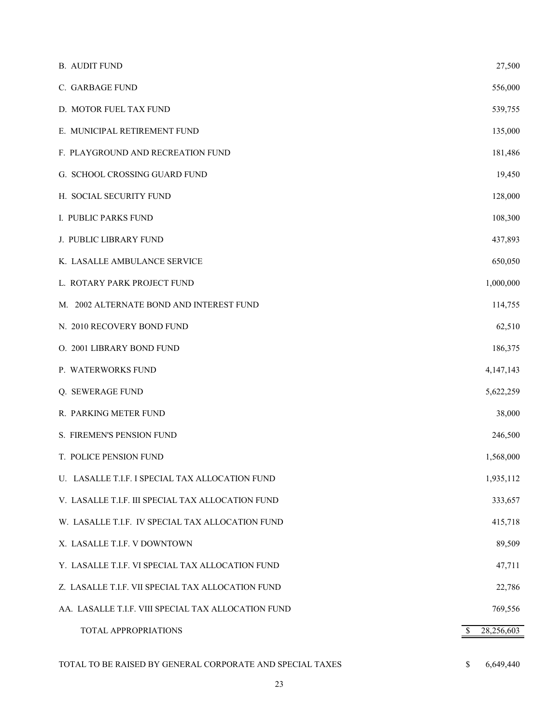| <b>B. AUDIT FUND</b>                                      | 27,500           |
|-----------------------------------------------------------|------------------|
| C. GARBAGE FUND                                           | 556,000          |
| D. MOTOR FUEL TAX FUND                                    | 539,755          |
| E. MUNICIPAL RETIREMENT FUND                              | 135,000          |
| F. PLAYGROUND AND RECREATION FUND                         | 181,486          |
| G. SCHOOL CROSSING GUARD FUND                             | 19,450           |
| H. SOCIAL SECURITY FUND                                   | 128,000          |
| I. PUBLIC PARKS FUND                                      | 108,300          |
| J. PUBLIC LIBRARY FUND                                    | 437,893          |
| K. LASALLE AMBULANCE SERVICE                              | 650,050          |
| L. ROTARY PARK PROJECT FUND                               | 1,000,000        |
| M. 2002 ALTERNATE BOND AND INTEREST FUND                  | 114,755          |
| N. 2010 RECOVERY BOND FUND                                | 62,510           |
| O. 2001 LIBRARY BOND FUND                                 | 186,375          |
| P. WATERWORKS FUND                                        | 4,147,143        |
| Q. SEWERAGE FUND                                          | 5,622,259        |
| R. PARKING METER FUND                                     | 38,000           |
| S. FIREMEN'S PENSION FUND                                 | 246,500          |
| T. POLICE PENSION FUND                                    | 1,568,000        |
| U. LASALLE T.I.F. I SPECIAL TAX ALLOCATION FUND           | 1,935,112        |
| V. LASALLE T.I.F. III SPECIAL TAX ALLOCATION FUND         | 333,657          |
| W. LASALLE T.I.F. IV SPECIAL TAX ALLOCATION FUND          | 415,718          |
| X. LASALLE T.I.F. V DOWNTOWN                              | 89,509           |
| Y. LASALLE T.I.F. VI SPECIAL TAX ALLOCATION FUND          | 47,711           |
| Z. LASALLE T.I.F. VII SPECIAL TAX ALLOCATION FUND         | 22,786           |
| AA. LASALLE T.I.F. VIII SPECIAL TAX ALLOCATION FUND       | 769,556          |
| TOTAL APPROPRIATIONS                                      | 28,256,603<br>\$ |
| TOTAL TO BE RAISED BY GENERAL CORPORATE AND SPECIAL TAXES | 6,649,440<br>\$  |